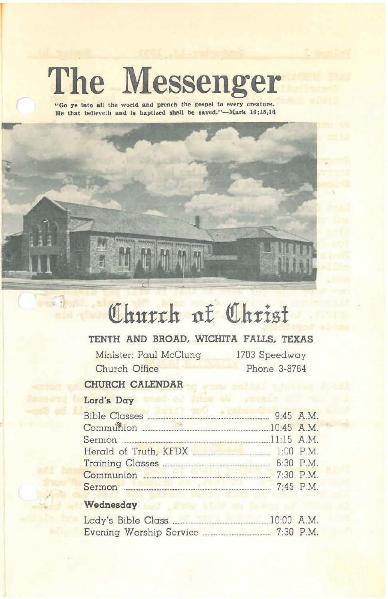# **The Messenger**

**"Go ye Into all the world and preach the gospel to every creature.** He that believeth and is baptized shall be saved."-Mark 16;15,16

## Church of Christ

#### TENTH AND BROAD. WICHITA FALLS. TEXAS

Minister: Paul McClung Church Office

1703 Speedway Phone 3-8764

 $\sqrt{m}$ 

#### CHURCH CALENDAR

#### Lord's Day

| <b>Communication of the Communication</b><br>Bible Classes | 9:45 A.M. |
|------------------------------------------------------------|-----------|
| Communion 28 10:45 A.M.                                    |           |
|                                                            |           |
| Herald of Truth, KFDX [1:00 P.M.]                          |           |
|                                                            |           |
|                                                            | 7:30 P.M. |
| Sermon <b>Executive Communication</b>                      | 7:45 P.M. |

### t Wednesday and show what are being of the

| Lady's Bible Class      | $10:00$ A.M. |             |
|-------------------------|--------------|-------------|
| Evening Worship Service |              | $7:30$ P.M. |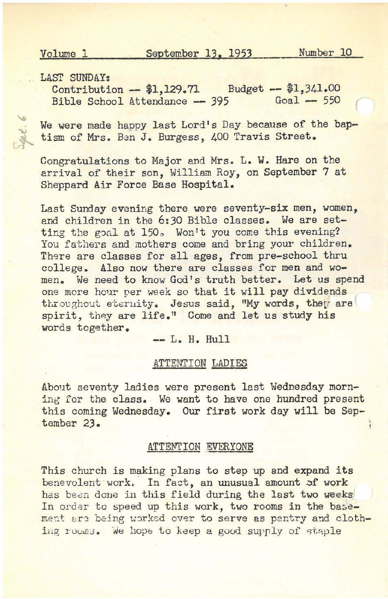Volume 1 September 13, 1953 Number 10

LAST SUNDAY:

Contribution -- \$1,129.71 Budget **--** \$1,341.00 Bible School Attendance -- 395  $Goal - 550$ 

We were made happy last Lord's Day because of the baptism of Mrs. Ben J. Burgess, 400 Travis Street.

Congratulations to Major and Mrs. L. W. Hare on the arrival of their son, William Roy, on September 7 at Sheppard Air Force Base Hospital.

Last Sunday evening there were seventy-six men, women, and children in the 6:30 Bible classes. We are setting the goal at 150. Won't you come this evening? You fathers and mothers come and bring your children. There are classes for all ages, from pre-school thru college. Also now there are classes for men and women. We need to know God's truth better. Let us spend one more hour per week so that it will pay dividends throughout eternity. Jesus said, "My words, they are spirit, they are life." Come and let us study his words together.

**--** L. H. Hull

#### ATTENTION LADIES

About seventy ladies were present last Wednesday morning for the class. We want to have one hundred present this coming Wednesday. Our first work day will be September 23.

#### ATTENTION EVERYONE

This church is making plans to step up and expand its benevolent work. In fact, an unusual amount of work has been done in this field during the last two weeks In order to speed up this work, two rooms in the basement ars being worked over to serve as pantry and clothing rooms. We hope to keep a good supply of staple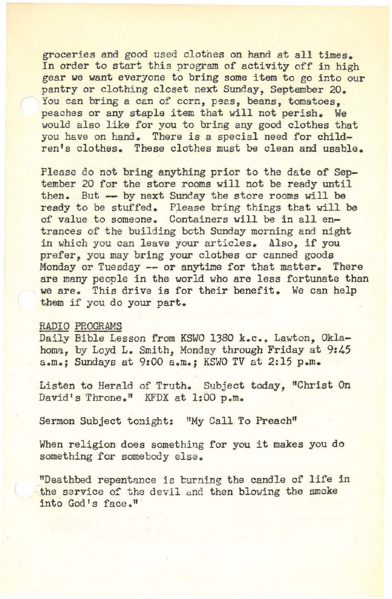groceries and good used clotnes on hand at all times. In order to start this program of activity off in high gear we want everyone to bring some item to go into our pantry or clothing closet next Sunday, September 20. You can bring a can of corn, peas, beans, tomatoes, peaches or any staple item that will not perish. We would also like for you to bring any good clothes that you have on hand. There *is* a special need for children's clothes. These clothes must be clean and usable.

Please do not bring anything prior to the date of September 20 for the store rooms will not be ready until then. But -- by next Sunday the store rooms will be ready to be stuffed. Please bring things that will be of value to someone. Containers will be *in* all entrances of the building both Sunday morning and night in which you can leave your articles. Also, if you prefer, you may bring your clothes or canned goods Monday or Tuesday -- or anytime for that matter. There are many people in the world who are less fortunate than we are. This drive is for their benefit. We can help them if you do your part.

#### RADIO PROGRAMS

Daily Bible Lesson from KSWO 1380 k.c., Lawton, Oklahoma, by Loyd L. Smith, Monday through Friday at 9:45 a.m.: Sundays at 9:00 a.m.: KSWO TV at 2:15 p.m.

Listen to Herald of Truth. Subject today, "Christ On David's Throne." KFDX at 1:00 p.m.

Sermon Subject tonight: "My Call To Preach"

When religion does something for you it makes you do something for somebody else.

"Deathbed repentance is burning the candle of life in the service of the devil and then blowing the smoke into God's face."